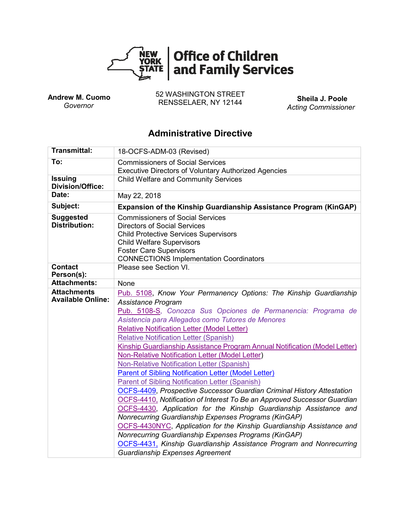

 **Andrew M. Cuomo**  *Governor*

52 WASHINGTON STREET RENSSELAER, NY 12144 **Sheila J. Poole**

*Acting Commissioner*

# **Administrative Directive**

| <b>Transmittal:</b>                                                                                                           | 18-OCFS-ADM-03 (Revised)                                                                                                                                                                             |  |  |  |  |  |
|-------------------------------------------------------------------------------------------------------------------------------|------------------------------------------------------------------------------------------------------------------------------------------------------------------------------------------------------|--|--|--|--|--|
| To:                                                                                                                           | <b>Commissioners of Social Services</b>                                                                                                                                                              |  |  |  |  |  |
|                                                                                                                               | <b>Executive Directors of Voluntary Authorized Agencies</b>                                                                                                                                          |  |  |  |  |  |
| <b>Issuing</b><br><b>Division/Office:</b>                                                                                     | <b>Child Welfare and Community Services</b>                                                                                                                                                          |  |  |  |  |  |
| Date:                                                                                                                         | May 22, 2018                                                                                                                                                                                         |  |  |  |  |  |
| Subject:                                                                                                                      | Expansion of the Kinship Guardianship Assistance Program (KinGAP)                                                                                                                                    |  |  |  |  |  |
| <b>Suggested</b><br><b>Distribution:</b>                                                                                      | <b>Commissioners of Social Services</b><br><b>Directors of Social Services</b><br><b>Child Protective Services Supervisors</b><br><b>Child Welfare Supervisors</b><br><b>Foster Care Supervisors</b> |  |  |  |  |  |
|                                                                                                                               | <b>CONNECTIONS Implementation Coordinators</b>                                                                                                                                                       |  |  |  |  |  |
| <b>Contact</b><br>Person(s):                                                                                                  | Please see Section VI.                                                                                                                                                                               |  |  |  |  |  |
| <b>Attachments:</b>                                                                                                           | None                                                                                                                                                                                                 |  |  |  |  |  |
| <b>Attachments</b><br><b>Available Online:</b>                                                                                | Pub. 5108, Know Your Permanency Options: The Kinship Guardianship<br>Assistance Program                                                                                                              |  |  |  |  |  |
|                                                                                                                               | Pub. 5108-S, Conozca Sus Opciones de Permanencia: Programa de<br>Asistencia para Allegados como Tutores de Menores                                                                                   |  |  |  |  |  |
|                                                                                                                               | <b>Relative Notification Letter (Model Letter)</b>                                                                                                                                                   |  |  |  |  |  |
|                                                                                                                               | <b>Relative Notification Letter (Spanish)</b>                                                                                                                                                        |  |  |  |  |  |
|                                                                                                                               | Kinship Guardianship Assistance Program Annual Notification (Model Letter)                                                                                                                           |  |  |  |  |  |
|                                                                                                                               | <b>Non-Relative Notification Letter (Model Letter)</b>                                                                                                                                               |  |  |  |  |  |
|                                                                                                                               | <b>Non-Relative Notification Letter (Spanish)</b>                                                                                                                                                    |  |  |  |  |  |
|                                                                                                                               | <b>Parent of Sibling Notification Letter (Model Letter)</b>                                                                                                                                          |  |  |  |  |  |
|                                                                                                                               | <b>Parent of Sibling Notification Letter (Spanish)</b>                                                                                                                                               |  |  |  |  |  |
|                                                                                                                               | <b>OCFS-4409, Prospective Successor Guardian Criminal History Attestation</b>                                                                                                                        |  |  |  |  |  |
|                                                                                                                               | OCFS-4410, Notification of Interest To Be an Approved Successor Guardian                                                                                                                             |  |  |  |  |  |
|                                                                                                                               | OCFS-4430, Application for the Kinship Guardianship Assistance and                                                                                                                                   |  |  |  |  |  |
| Nonrecurring Guardianship Expenses Programs (KinGAP)<br>OCFS-4430NYC, Application for the Kinship Guardianship Assistance and |                                                                                                                                                                                                      |  |  |  |  |  |
|                                                                                                                               |                                                                                                                                                                                                      |  |  |  |  |  |
|                                                                                                                               | <b>OCFS-4431, Kinship Guardianship Assistance Program and Nonrecurring</b>                                                                                                                           |  |  |  |  |  |
|                                                                                                                               | <b>Guardianship Expenses Agreement</b>                                                                                                                                                               |  |  |  |  |  |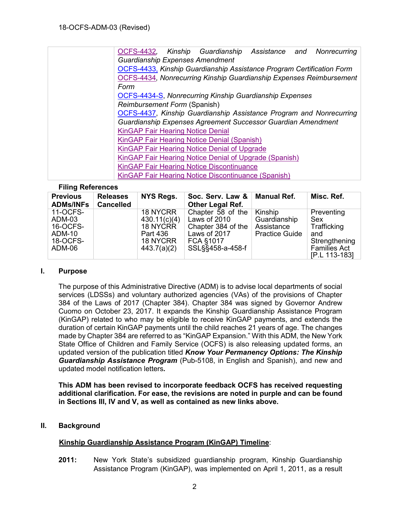| OCFS-4432, Kinship Guardianship Assistance and Nonrecurring                |  |  |  |  |  |  |
|----------------------------------------------------------------------------|--|--|--|--|--|--|
| <b>Guardianship Expenses Amendment</b>                                     |  |  |  |  |  |  |
| OCFS-4433, Kinship Guardianship Assistance Program Certification Form      |  |  |  |  |  |  |
| <b>OCFS-4434, Nonrecurring Kinship Guardianship Expenses Reimbursement</b> |  |  |  |  |  |  |
| Form                                                                       |  |  |  |  |  |  |
| <b>OCFS-4434-S, Nonrecurring Kinship Guardianship Expenses</b>             |  |  |  |  |  |  |
| Reimbursement Form (Spanish)                                               |  |  |  |  |  |  |
| OCFS-4437, Kinship Guardianship Assistance Program and Nonrecurring        |  |  |  |  |  |  |
| Guardianship Expenses Agreement Successor Guardian Amendment               |  |  |  |  |  |  |
| <b>KinGAP Fair Hearing Notice Denial</b>                                   |  |  |  |  |  |  |
| KinGAP Fair Hearing Notice Denial (Spanish)                                |  |  |  |  |  |  |
| KinGAP Fair Hearing Notice Denial of Upgrade                               |  |  |  |  |  |  |
| KinGAP Fair Hearing Notice Denial of Upgrade (Spanish)                     |  |  |  |  |  |  |
| <b>KinGAP Fair Hearing Notice Discontinuance</b>                           |  |  |  |  |  |  |
| KinGAP Fair Hearing Notice Discontinuance (Spanish)                        |  |  |  |  |  |  |

#### **Filing References**

| <b>Previous</b><br><b>ADMs/INFs</b>                                   | <b>Releases</b><br><b>Cancelled</b> | <b>NYS Regs.</b>                                                                   | Soc. Serv. Law &<br>Other Legal Ref.                                                                     | Manual Ref.                                                    | Misc. Ref.                                                                      |
|-----------------------------------------------------------------------|-------------------------------------|------------------------------------------------------------------------------------|----------------------------------------------------------------------------------------------------------|----------------------------------------------------------------|---------------------------------------------------------------------------------|
| 11-OCFS-<br>ADM-03<br>16-OCFS-<br><b>ADM-10</b><br>18-OCFS-<br>ADM-06 |                                     | <b>18 NYCRR</b><br>430.11(c)(4)<br>18 NYCRR<br>Part 436<br>18 NYCRR<br>443.7(a)(2) | Chapter 58 of the<br>Laws of 2010<br>Chapter 384 of the<br>Laws of 2017<br>FCA §1017<br>SSL§§458-a-458-f | Kinship<br>Guardianship<br>Assistance<br><b>Practice Guide</b> | Preventing<br>Sex<br>Trafficking<br>and<br>Strengthening<br><b>Families Act</b> |
|                                                                       |                                     |                                                                                    |                                                                                                          |                                                                | [P.L 113-183]                                                                   |

#### **I. Purpose**

The purpose of this Administrative Directive (ADM) is to advise local departments of social services (LDSSs) and voluntary authorized agencies (VAs) of the provisions of Chapter 384 of the Laws of 2017 (Chapter 384). Chapter 384 was signed by Governor Andrew Cuomo on October 23, 2017. It expands the Kinship Guardianship Assistance Program (KinGAP) related to who may be eligible to receive KinGAP payments, and extends the duration of certain KinGAP payments until the child reaches 21 years of age. The changes made by Chapter 384 are referred to as "KinGAP Expansion." With this ADM, the New York State Office of Children and Family Service (OCFS) is also releasing updated forms, an updated version of the publication titled *Know Your Permanency Options: The Kinship Guardianship Assistance Program* (Pub-5108, in English and Spanish), and new and updated model notification letters*.*

**This ADM has been revised to incorporate feedback OCFS has received requesting additional clarification. For ease, the revisions are noted in purple and can be found in Sections III, IV and V, as well as contained as new links above.**

### **II. Background**

### **Kinship Guardianship Assistance Program (KinGAP) Timeline**:

**2011:** New York State's subsidized guardianship program, Kinship Guardianship Assistance Program (KinGAP), was implemented on April 1, 2011, as a result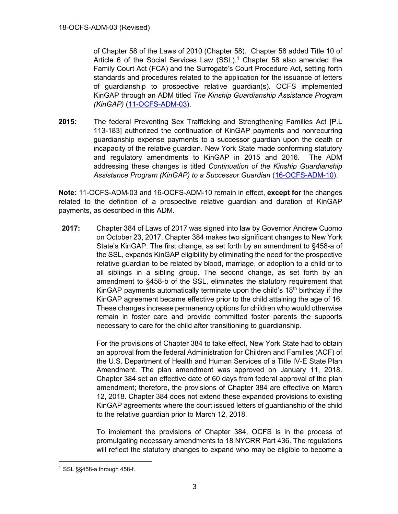of Chapter 58 of the Laws of 2010 (Chapter 58). Chapter 58 added Title 10 of Article 6 of the Social Services Law (SSL).<sup>1</sup> Chapter 58 also amended the Family Court Act (FCA) and the Surrogate's Court Procedure Act, setting forth standards and procedures related to the application for the issuance of letters of guardianship to prospective relative guardian(s). OCFS implemented KinGAP through an ADM titled *The Kinship Guardianship Assistance Program (KinGAP)* [\(11-OCFS-ADM-03\)](http://ocfs.ny.gov/main/policies/external/OCFS%202011/).

**2015:** The federal Preventing Sex Trafficking and Strengthening Families Act [P.L 113-183] authorized the continuation of KinGAP payments and nonrecurring guardianship expense payments to a successor guardian upon the death or incapacity of the relative guardian. New York State made conforming statutory and regulatory amendments to KinGAP in 2015 and 2016. The ADM addressing these changes is titled *Continuation of the Kinship Guardianship Assistance Program (KinGAP) to a Successor Guardian* [\(16-OCFS-ADM-10\)](http://ocfs.ny.gov/main/policies/external/OCFS%202016/).

**Note:** 11-OCFS-ADM-03 and 16-OCFS-ADM-10 remain in effect, **except for** the changes related to the definition of a prospective relative guardian and duration of KinGAP payments, as described in this ADM.

**2017:** Chapter 384 of Laws of 2017 was signed into law by Governor Andrew Cuomo on October 23, 2017. Chapter 384 makes two significant changes to New York State's KinGAP. The first change, as set forth by an amendment to §458-a of the SSL, expands KinGAP eligibility by eliminating the need for the prospective relative guardian to be related by blood, marriage, or adoption to a child or to all siblings in a sibling group. The second change, as set forth by an amendment to §458-b of the SSL, eliminates the statutory requirement that KinGAP payments automatically terminate upon the child's  $18<sup>th</sup>$  birthday if the KinGAP agreement became effective prior to the child attaining the age of 16. These changes increase permanency options for children who would otherwise remain in foster care and provide committed foster parents the supports necessary to care for the child after transitioning to guardianship.

> For the provisions of Chapter 384 to take effect, New York State had to obtain an approval from the federal Administration for Children and Families (ACF) of the U.S. Department of Health and Human Services of a Title IV-E State Plan Amendment. The plan amendment was approved on January 11, 2018. Chapter 384 set an effective date of 60 days from federal approval of the plan amendment; therefore, the provisions of Chapter 384 are effective on March 12, 2018. Chapter 384 does not extend these expanded provisions to existing KinGAP agreements where the court issued letters of guardianship of the child to the relative guardian prior to March 12, 2018.

> To implement the provisions of Chapter 384, OCFS is in the process of promulgating necessary amendments to 18 NYCRR Part 436. The regulations will reflect the statutory changes to expand who may be eligible to become a

 $\overline{a}$ 

 $1$  SSL §§458-a through 458-f.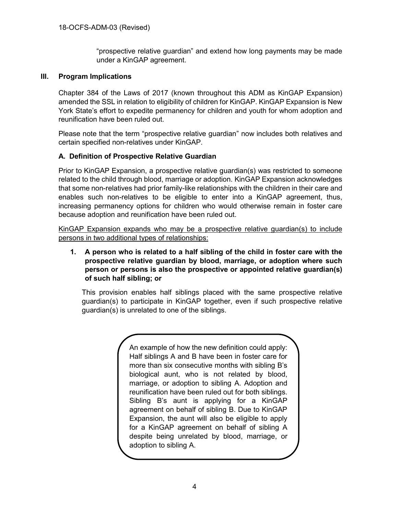"prospective relative guardian" and extend how long payments may be made under a KinGAP agreement.

### **III. Program Implications**

Chapter 384 of the Laws of 2017 (known throughout this ADM as KinGAP Expansion) amended the SSL in relation to eligibility of children for KinGAP. KinGAP Expansion is New York State's effort to expedite permanency for children and youth for whom adoption and reunification have been ruled out.

Please note that the term "prospective relative guardian" now includes both relatives and certain specified non-relatives under KinGAP.

#### **A. Definition of Prospective Relative Guardian**

Prior to KinGAP Expansion, a prospective relative guardian(s) was restricted to someone related to the child through blood, marriage or adoption. KinGAP Expansion acknowledges that some non-relatives had prior family-like relationships with the children in their care and enables such non-relatives to be eligible to enter into a KinGAP agreement, thus, increasing permanency options for children who would otherwise remain in foster care because adoption and reunification have been ruled out.

KinGAP Expansion expands who may be a prospective relative guardian(s) to include persons in two additional types of relationships:

**1. A person who is related to a half sibling of the child in foster care with the prospective relative guardian by blood, marriage, or adoption where such person or persons is also the prospective or appointed relative guardian(s) of such half sibling; or**

This provision enables half siblings placed with the same prospective relative guardian(s) to participate in KinGAP together, even if such prospective relative guardian(s) is unrelated to one of the siblings.

> An example of how the new definition could apply: Half siblings A and B have been in foster care for more than six consecutive months with sibling B's biological aunt, who is not related by blood, marriage, or adoption to sibling A. Adoption and reunification have been ruled out for both siblings. Sibling B's aunt is applying for a KinGAP agreement on behalf of sibling B. Due to KinGAP Expansion, the aunt will also be eligible to apply for a KinGAP agreement on behalf of sibling A despite being unrelated by blood, marriage, or adoption to sibling A.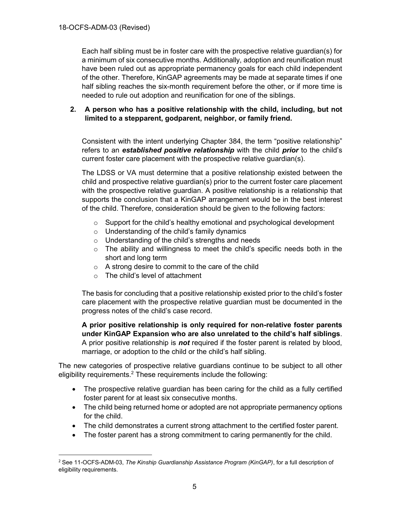Each half sibling must be in foster care with the prospective relative guardian(s) for a minimum of six consecutive months. Additionally, adoption and reunification must have been ruled out as appropriate permanency goals for each child independent of the other. Therefore, KinGAP agreements may be made at separate times if one half sibling reaches the six-month requirement before the other, or if more time is needed to rule out adoption and reunification for one of the siblings.

### **2. A person who has a positive relationship with the child, including, but not limited to a stepparent, godparent, neighbor, or family friend.**

Consistent with the intent underlying Chapter 384, the term "positive relationship" refers to an *established positive relationship* with the child *prior* to the child's current foster care placement with the prospective relative guardian(s).

The LDSS or VA must determine that a positive relationship existed between the child and prospective relative guardian(s) prior to the current foster care placement with the prospective relative guardian. A positive relationship is a relationship that supports the conclusion that a KinGAP arrangement would be in the best interest of the child. Therefore, consideration should be given to the following factors:

- $\circ$  Support for the child's healthy emotional and psychological development
- $\circ$  Understanding of the child's family dynamics
- o Understanding of the child's strengths and needs
- $\circ$  The ability and willingness to meet the child's specific needs both in the short and long term
- $\circ$  A strong desire to commit to the care of the child
- o The child's level of attachment

 $\overline{a}$ 

The basis for concluding that a positive relationship existed prior to the child's foster care placement with the prospective relative guardian must be documented in the progress notes of the child's case record.

**A prior positive relationship is only required for non-relative foster parents under KinGAP Expansion who are also unrelated to the child's half siblings**. A prior positive relationship is *not* required if the foster parent is related by blood, marriage, or adoption to the child or the child's half sibling.

The new categories of prospective relative guardians continue to be subject to all other eligibility requirements.<sup>2</sup> These requirements include the following:

- The prospective relative guardian has been caring for the child as a fully certified foster parent for at least six consecutive months.
- The child being returned home or adopted are not appropriate permanency options for the child.
- The child demonstrates a current strong attachment to the certified foster parent.
- The foster parent has a strong commitment to caring permanently for the child.

<sup>2</sup> See 11-OCFS-ADM-03, *The Kinship Guardianship Assistance Program (KinGAP)*, for a full description of eligibility requirements.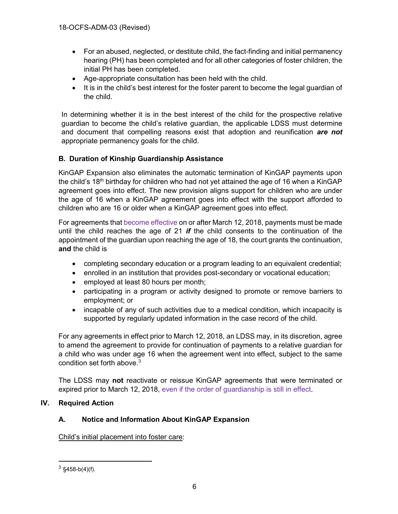- For an abused, neglected, or destitute child, the fact-finding and initial permanency hearing (PH) has been completed and for all other categories of foster children, the initial PH has been completed.
- Age-appropriate consultation has been held with the child.
- It is in the child's best interest for the foster parent to become the legal guardian of the child.

In determining whether it is in the best interest of the child for the prospective relative guardian to become the child's relative guardian, the applicable LDSS must determine and document that compelling reasons exist that adoption and reunification *are not* appropriate permanency goals for the child.

### **B. Duration of Kinship Guardianship Assistance**

KinGAP Expansion also eliminates the automatic termination of KinGAP payments upon the child's 18<sup>th</sup> birthday for children who had not yet attained the age of 16 when a KinGAP agreement goes into effect. The new provision aligns support for children who are under the age of 16 when a KinGAP agreement goes into effect with the support afforded to children who are 16 or older when a KinGAP agreement goes into effect.

For agreements that become effective on or after March 12, 2018, payments must be made until the child reaches the age of 21 *if* the child consents to the continuation of the appointment of the guardian upon reaching the age of 18, the court grants the continuation, **and** the child is

- completing secondary education or a program leading to an equivalent credential;
- enrolled in an institution that provides post-secondary or vocational education;
- employed at least 80 hours per month;
- participating in a program or activity designed to promote or remove barriers to employment; or
- incapable of any of such activities due to a medical condition, which incapacity is supported by regularly updated information in the case record of the child.

For any agreements in effect prior to March 12, 2018, an LDSS may, in its discretion, agree to amend the agreement to provide for continuation of payments to a relative guardian for a child who was under age 16 when the agreement went into effect, subject to the same condition set forth above. $3$ 

The LDSS may **not** reactivate or reissue KinGAP agreements that were terminated or expired prior to March 12, 2018, even if the order of guardianship is still in effect.

### **IV. Required Action**

### **A. Notice and Information About KinGAP Expansion**

Child's initial placement into foster care:

 $\frac{3}{3}$ §458-b(4)(f).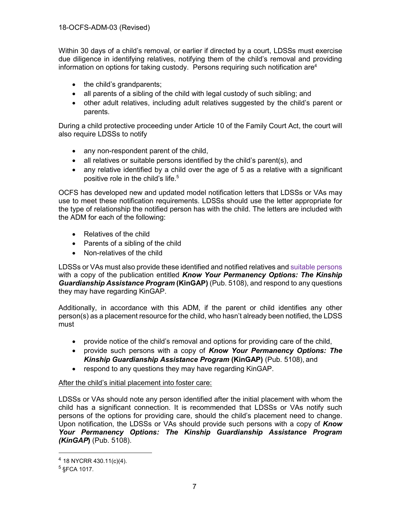Within 30 days of a child's removal, or earlier if directed by a court, LDSSs must exercise due diligence in identifying relatives, notifying them of the child's removal and providing information on options for taking custody. Persons requiring such notification are<sup>4</sup>

- the child's grandparents;
- all parents of a sibling of the child with legal custody of such sibling; and
- other adult relatives, including adult relatives suggested by the child's parent or parents.

During a child protective proceeding under Article 10 of the Family Court Act, the court will also require LDSSs to notify

- any non-respondent parent of the child,
- all relatives or suitable persons identified by the child's parent(s), and
- any relative identified by a child over the age of 5 as a relative with a significant positive role in the child's life.<sup>5</sup>

OCFS has developed new and updated model notification letters that LDSSs or VAs may use to meet these notification requirements. LDSSs should use the letter appropriate for the type of relationship the notified person has with the child. The letters are included with the ADM for each of the following:

- Relatives of the child
- Parents of a sibling of the child
- Non-relatives of the child

LDSSs or VAs must also provide these identified and notified relatives and suitable persons with a copy of the publication entitled *Know Your Permanency Options: The Kinship Guardianship Assistance Program* **(KinGAP)** (Pub. 5108), and respond to any questions they may have regarding KinGAP.

Additionally, in accordance with this ADM, if the parent or child identifies any other person(s) as a placement resource for the child, who hasn't already been notified, the LDSS must

- provide notice of the child's removal and options for providing care of the child,
- provide such persons with a copy of *Know Your Permanency Options: The Kinship Guardianship Assistance Program* **(KinGAP)** (Pub. 5108), and
- respond to any questions they may have regarding KinGAP.

## After the child's initial placement into foster care:

LDSSs or VAs should note any person identified after the initial placement with whom the child has a significant connection. It is recommended that LDSSs or VAs notify such persons of the options for providing care, should the child's placement need to change. Upon notification, the LDSSs or VAs should provide such persons with a copy of *Know Your Permanency Options: The Kinship Guardianship Assistance Program (KinGAP***)** (Pub. 5108).

 $\overline{a}$ 

 $4$  18 NYCRR 430.11(c)(4).

 $5$  §FCA 1017.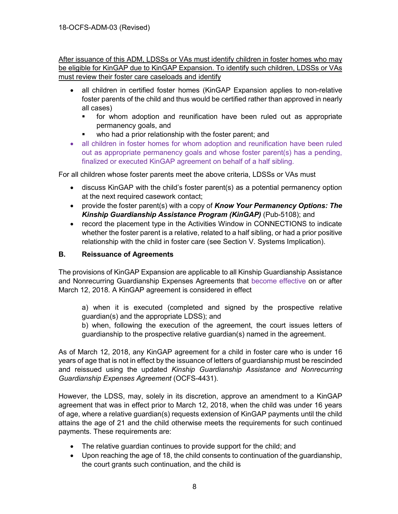After issuance of this ADM, LDSSs or VAs must identify children in foster homes who may be eligible for KinGAP due to KinGAP Expansion. To identify such children, LDSSs or VAs must review their foster care caseloads and identify

- all children in certified foster homes (KinGAP Expansion applies to non-relative foster parents of the child and thus would be certified rather than approved in nearly all cases)
	- for whom adoption and reunification have been ruled out as appropriate permanency goals, and
	- who had a prior relationship with the foster parent; and
- all children in foster homes for whom adoption and reunification have been ruled out as appropriate permanency goals and whose foster parent(s) has a pending, finalized or executed KinGAP agreement on behalf of a half sibling.

For all children whose foster parents meet the above criteria, LDSSs or VAs must

- discuss KinGAP with the child's foster parent(s) as a potential permanency option at the next required casework contact;
- provide the foster parent(s) with a copy of *Know Your Permanency Options: The Kinship Guardianship Assistance Program (KinGAP)* (Pub-5108); and
- record the placement type in the Activities Window in CONNECTIONS to indicate whether the foster parent is a relative, related to a half sibling, or had a prior positive relationship with the child in foster care (see Section V. Systems Implication).

### **B. Reissuance of Agreements**

The provisions of KinGAP Expansion are applicable to all Kinship Guardianship Assistance and Nonrecurring Guardianship Expenses Agreements that become effective on or after March 12, 2018. A KinGAP agreement is considered in effect

a) when it is executed (completed and signed by the prospective relative guardian(s) and the appropriate LDSS); and

b) when, following the execution of the agreement, the court issues letters of guardianship to the prospective relative guardian(s) named in the agreement.

As of March 12, 2018, any KinGAP agreement for a child in foster care who is under 16 years of age that is not in effect by the issuance of letters of guardianship must be rescinded and reissued using the updated *Kinship Guardianship Assistance and Nonrecurring Guardianship Expenses Agreement* (OCFS-4431).

However, the LDSS, may, solely in its discretion, approve an amendment to a KinGAP agreement that was in effect prior to March 12, 2018, when the child was under 16 years of age, where a relative guardian(s) requests extension of KinGAP payments until the child attains the age of 21 and the child otherwise meets the requirements for such continued payments. These requirements are:

- The relative guardian continues to provide support for the child; and
- Upon reaching the age of 18, the child consents to continuation of the guardianship, the court grants such continuation, and the child is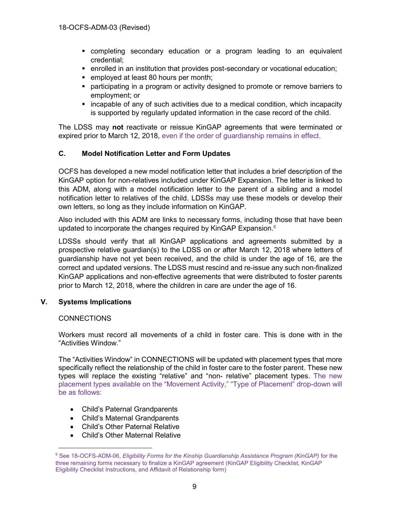- completing secondary education or a program leading to an equivalent credential;
- enrolled in an institution that provides post-secondary or vocational education;
- employed at least 80 hours per month;
- **•** participating in a program or activity designed to promote or remove barriers to employment; or
- incapable of any of such activities due to a medical condition, which incapacity is supported by regularly updated information in the case record of the child.

The LDSS may **not** reactivate or reissue KinGAP agreements that were terminated or expired prior to March 12, 2018, even if the order of guardianship remains in effect.

### **C. Model Notification Letter and Form Updates**

OCFS has developed a new model notification letter that includes a brief description of the KinGAP option for non-relatives included under KinGAP Expansion. The letter is linked to this ADM, along with a model notification letter to the parent of a sibling and a model notification letter to relatives of the child. LDSSs may use these models or develop their own letters, so long as they include information on KinGAP.

Also included with this ADM are links to necessary forms, including those that have been updated to incorporate the changes required by KinGAP Expansion. $6$ 

LDSSs should verify that all KinGAP applications and agreements submitted by a prospective relative guardian(s) to the LDSS on or after March 12, 2018 where letters of guardianship have not yet been received, and the child is under the age of 16, are the correct and updated versions. The LDSS must rescind and re-issue any such non-finalized KinGAP applications and non-effective agreements that were distributed to foster parents prior to March 12, 2018, where the children in care are under the age of 16.

#### **V. Systems Implications**

#### **CONNECTIONS**

 $\overline{a}$ 

Workers must record all movements of a child in foster care. This is done with in the "Activities Window."

The "Activities Window" in CONNECTIONS will be updated with placement types that more specifically reflect the relationship of the child in foster care to the foster parent. These new types will replace the existing "relative" and "non- relative" placement types. The new placement types available on the "Movement Activity," "Type of Placement" drop-down will be as follows:

- Child's Paternal Grandparents
- Child's Maternal Grandparents
- Child's Other Paternal Relative
- Child's Other Maternal Relative

<sup>6</sup> See 18-OCFS-ADM-06, *Eligibility Forms for the Kinship Guardianship Assistance Program (KinGAP)* for the three remaining forms necessary to finalize a KinGAP agreement (KinGAP Eligibility Checklist, KinGAP Eligibility Checklist Instructions, and Affidavit of Relationship form)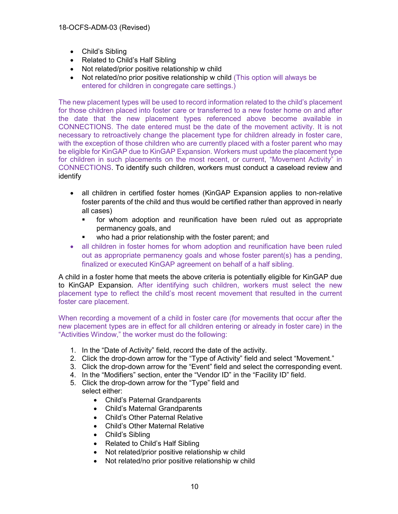- Child's Sibling
- Related to Child's Half Sibling
- Not related/prior positive relationship w child
- Not related/no prior positive relationship w child (This option will always be entered for children in congregate care settings.)

The new placement types will be used to record information related to the child's placement for those children placed into foster care or transferred to a new foster home on and after the date that the new placement types referenced above become available in CONNECTIONS. The date entered must be the date of the movement activity. It is not necessary to retroactively change the placement type for children already in foster care, with the exception of those children who are currently placed with a foster parent who may be eligible for KinGAP due to KinGAP Expansion. Workers must update the placement type for children in such placements on the most recent, or current, "Movement Activity" in CONNECTIONS. To identify such children, workers must conduct a caseload review and identify

- all children in certified foster homes (KinGAP Expansion applies to non-relative foster parents of the child and thus would be certified rather than approved in nearly all cases)
	- for whom adoption and reunification have been ruled out as appropriate permanency goals, and
	- who had a prior relationship with the foster parent; and
- all children in foster homes for whom adoption and reunification have been ruled out as appropriate permanency goals and whose foster parent(s) has a pending, finalized or executed KinGAP agreement on behalf of a half sibling.

A child in a foster home that meets the above criteria is potentially eligible for KinGAP due to KinGAP Expansion. After identifying such children, workers must select the new placement type to reflect the child's most recent movement that resulted in the current foster care placement.

When recording a movement of a child in foster care (for movements that occur after the new placement types are in effect for all children entering or already in foster care) in the "Activities Window," the worker must do the following:

- 1. In the "Date of Activity" field, record the date of the activity.
- 2. Click the drop-down arrow for the "Type of Activity" field and select "Movement."
- 3. Click the drop-down arrow for the "Event" field and select the corresponding event.
- 4. In the "Modifiers" section, enter the "Vendor ID" in the "Facility ID" field.
- 5. Click the drop-down arrow for the "Type" field and select either:
	- Child's Paternal Grandparents
	- Child's Maternal Grandparents
	- Child's Other Paternal Relative
	- Child's Other Maternal Relative
	- Child's Sibling
	- Related to Child's Half Sibling
	- Not related/prior positive relationship w child
	- Not related/no prior positive relationship w child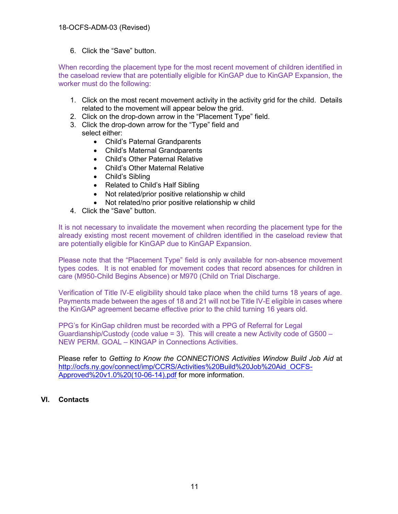6. Click the "Save" button.

When recording the placement type for the most recent movement of children identified in the caseload review that are potentially eligible for KinGAP due to KinGAP Expansion, the worker must do the following:

- 1. Click on the most recent movement activity in the activity grid for the child. Details related to the movement will appear below the grid.
- 2. Click on the drop-down arrow in the "Placement Type" field.
- 3. Click the drop-down arrow for the "Type" field and select either:
	- Child's Paternal Grandparents
	- Child's Maternal Grandparents
	- Child's Other Paternal Relative
	- Child's Other Maternal Relative
	- Child's Sibling
	- Related to Child's Half Sibling
	- Not related/prior positive relationship w child
	- Not related/no prior positive relationship w child
- 4. Click the "Save" button.

It is not necessary to invalidate the movement when recording the placement type for the already existing most recent movement of children identified in the caseload review that are potentially eligible for KinGAP due to KinGAP Expansion.

Please note that the "Placement Type" field is only available for non-absence movement types codes. It is not enabled for movement codes that record absences for children in care (M950-Child Begins Absence) or M970 (Child on Trial Discharge.

Verification of Title IV-E eligibility should take place when the child turns 18 years of age. Payments made between the ages of 18 and 21 will not be Title IV-E eligible in cases where the KinGAP agreement became effective prior to the child turning 16 years old.

PPG's for KinGap children must be recorded with a PPG of Referral for Legal Guardianship/Custody (code value  $=$  3). This will create a new Activity code of G500  $-$ NEW PERM. GOAL – KINGAP in Connections Activities.

Please refer to *Getting to Know the CONNECTIONS Activities Window Build Job Aid* at [http://ocfs.ny.gov/connect/imp/CCRS/Activities%20Build%20Job%20Aid\\_OCFS-](http://ocfs.ny.gov/connect/imp/CCRS/Activities%20Build%20Job%20Aid_OCFS-Approved%20v1.0%20(10-06-14).pdf)[Approved%20v1.0%20\(10-06-14\).pdf](http://ocfs.ny.gov/connect/imp/CCRS/Activities%20Build%20Job%20Aid_OCFS-Approved%20v1.0%20(10-06-14).pdf) for more information.

#### **VI. Contacts**